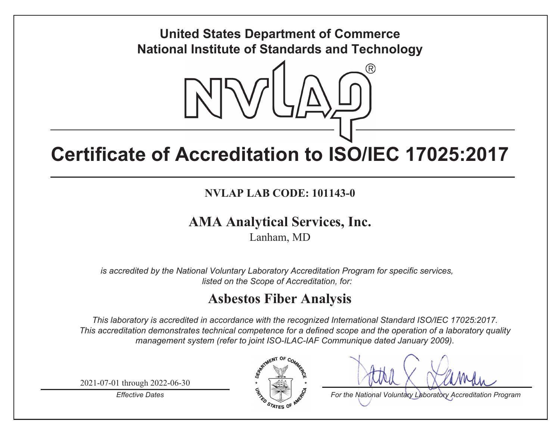

# **Certificate of Accreditation to ISO/IEC 17025:2017**

**NVLAP LAB CODE: 101143-0**

## **AMA Anal ytical Services, Inc.**

Lanham, MD

*is accredited by the National Voluntary Laboratory Accreditation Program for specific services, listed on the Scope of Accreditation, for:*

# **Asbestos Fiber Analysis**

*This laboratory is accredited in accordance with the recognized International Standard ISO/IEC 17025:2017. This accreditation demonstrates technical competence for a defined scope and the operation of a laboratory quality management system (refer to joint ISO-ILAC-IAF Communique dated January 2009).*

2021-07-01 through 2022-06-30

*Effective Dates*



*For the National Voluntary Laboratory Accreditation Program*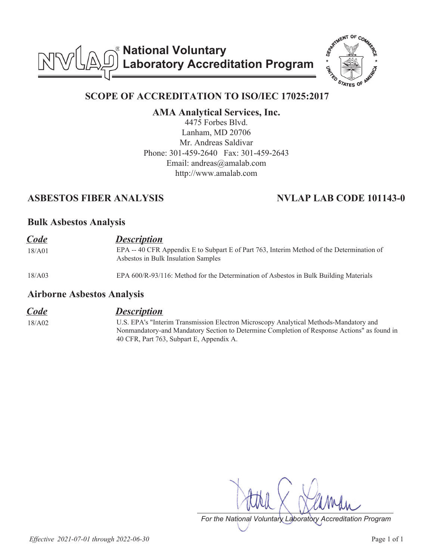**National Voluntary Laboratory Accreditation Program**



### **SCOPE OF ACCREDITATION TO ISO/IEC 17025:2017**

**AMA Analytical Services, Inc.**

4475 Forbes Blvd. Lanham, MD 20706 Mr. Andreas Saldivar Phone: 301-459-2640 Fax: 301-459-2643 Email: andreas@amalab.com http://www.amalab.com

#### **ASBESTOS FIBER ANALYSIS NVLAP LAB CODE 101143-0**

#### **Bulk Asbestos Analysis**

| <b>Code</b> | <b>Description</b>                                                                                                               |
|-------------|----------------------------------------------------------------------------------------------------------------------------------|
| 18/A01      | EPA -- 40 CFR Appendix E to Subpart E of Part 763, Interim Method of the Determination of<br>Asbestos in Bulk Insulation Samples |
| 18/A03      | EPA 600/R-93/116: Method for the Determination of Asbestos in Bulk Building Materials                                            |

#### **Airborne Asbestos Analysis**

#### *Code Description*

18/A02 U.S. EPA's "Interim Transmission Electron Microscopy Analytical Methods-Mandatory and Nonmandatory-and Mandatory Section to Determine Completion of Response Actions" as found in 40 CFR, Part 763, Subpart E, Appendix A.

*For the National Voluntary Laboratory Accreditation Program*